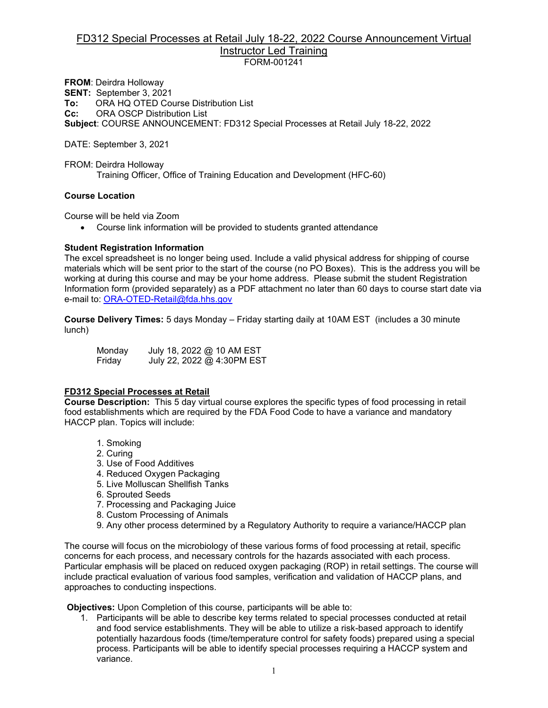#### FD312 Special Processes at Retail July 18-22, 2022 Course Announcement Virtual Instructor Led Training FORM-001241

**FROM**: Deirdra Holloway **SENT:** September 3, 2021 **To:** ORA HQ OTED Course Distribution List<br>**Cc:** ORA OSCP Distribution List **CRA OSCP Distribution List Subject**: COURSE ANNOUNCEMENT: FD312 Special Processes at Retail July 18-22, 2022

DATE: September 3, 2021

FROM: Deirdra Holloway Training Officer, Office of Training Education and Development (HFC-60)

#### **Course Location**

Course will be held via Zoom

• Course link information will be provided to students granted attendance

#### **Student Registration Information**

The excel spreadsheet is no longer being used. Include a valid physical address for shipping of course materials which will be sent prior to the start of the course (no PO Boxes). This is the address you will be working at during this course and may be your home address. Please submit the student Registration Information form (provided separately) as a PDF attachment no later than 60 days to course start date via e-mail to: [ORA-OTED-Retail@fda.hhs.gov](mailto:ORA-OTED-Retail@fda.hhs.gov)

**Course Delivery Times:** 5 days Monday – Friday starting daily at 10AM EST (includes a 30 minute lunch)

Monday July 18, 2022 @ 10 AM EST Friday July 22, 2022 @ 4:30PM EST

#### **FD312 Special Processes at Retail**

**Course Description:** This 5 day virtual course explores the specific types of food processing in retail food establishments which are required by the FDA Food Code to have a variance and mandatory HACCP plan. Topics will include:

- 1. Smoking
- 2. Curing
- 3. Use of Food Additives
- 4. Reduced Oxygen Packaging
- 5. Live Molluscan Shellfish Tanks
- 6. Sprouted Seeds
- 7. Processing and Packaging Juice
- 8. Custom Processing of Animals
- 9. Any other process determined by a Regulatory Authority to require a variance/HACCP plan

The course will focus on the microbiology of these various forms of food processing at retail, specific concerns for each process, and necessary controls for the hazards associated with each process. Particular emphasis will be placed on reduced oxygen packaging (ROP) in retail settings. The course will include practical evaluation of various food samples, verification and validation of HACCP plans, and approaches to conducting inspections.

**Objectives:** Upon Completion of this course, participants will be able to:

1. Participants will be able to describe key terms related to special processes conducted at retail and food service establishments. They will be able to utilize a risk-based approach to identify potentially hazardous foods (time/temperature control for safety foods) prepared using a special process. Participants will be able to identify special processes requiring a HACCP system and variance.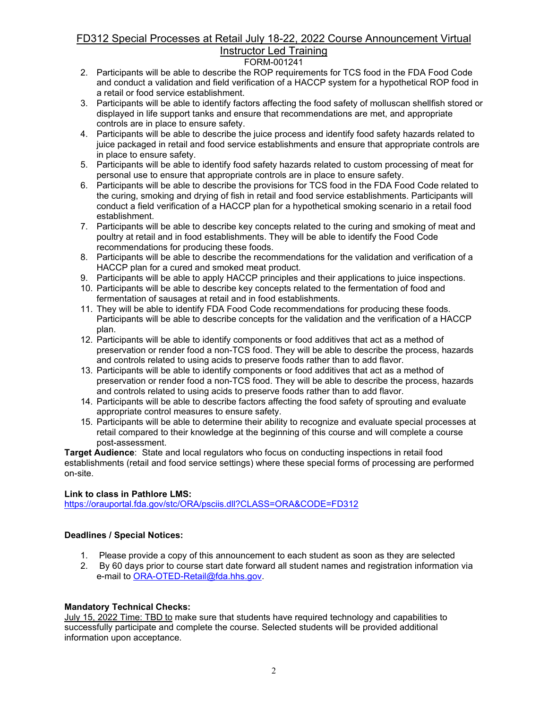## FD312 Special Processes at Retail July 18-22, 2022 Course Announcement Virtual Instructor Led Training

## FORM-001241

- 2. Participants will be able to describe the ROP requirements for TCS food in the FDA Food Code and conduct a validation and field verification of a HACCP system for a hypothetical ROP food in a retail or food service establishment.
- 3. Participants will be able to identify factors affecting the food safety of molluscan shellfish stored or displayed in life support tanks and ensure that recommendations are met, and appropriate controls are in place to ensure safety.
- 4. Participants will be able to describe the juice process and identify food safety hazards related to juice packaged in retail and food service establishments and ensure that appropriate controls are in place to ensure safety.
- 5. Participants will be able to identify food safety hazards related to custom processing of meat for personal use to ensure that appropriate controls are in place to ensure safety.
- 6. Participants will be able to describe the provisions for TCS food in the FDA Food Code related to the curing, smoking and drying of fish in retail and food service establishments. Participants will conduct a field verification of a HACCP plan for a hypothetical smoking scenario in a retail food establishment.
- 7. Participants will be able to describe key concepts related to the curing and smoking of meat and poultry at retail and in food establishments. They will be able to identify the Food Code recommendations for producing these foods.
- 8. Participants will be able to describe the recommendations for the validation and verification of a HACCP plan for a cured and smoked meat product.
- 9. Participants will be able to apply HACCP principles and their applications to juice inspections.
- 10. Participants will be able to describe key concepts related to the fermentation of food and fermentation of sausages at retail and in food establishments.
- 11. They will be able to identify FDA Food Code recommendations for producing these foods. Participants will be able to describe concepts for the validation and the verification of a HACCP plan.
- 12. Participants will be able to identify components or food additives that act as a method of preservation or render food a non-TCS food. They will be able to describe the process, hazards and controls related to using acids to preserve foods rather than to add flavor.
- 13. Participants will be able to identify components or food additives that act as a method of preservation or render food a non-TCS food. They will be able to describe the process, hazards and controls related to using acids to preserve foods rather than to add flavor.
- 14. Participants will be able to describe factors affecting the food safety of sprouting and evaluate appropriate control measures to ensure safety.
- 15. Participants will be able to determine their ability to recognize and evaluate special processes at retail compared to their knowledge at the beginning of this course and will complete a course post-assessment.

**Target Audience**:State and local regulators who focus on conducting inspections in retail food establishments (retail and food service settings) where these special forms of processing are performed on-site.

## **Link to class in Pathlore LMS:**

<https://orauportal.fda.gov/stc/ORA/psciis.dll?CLASS=ORA&CODE=FD312>

## **Deadlines / Special Notices:**

- 1. Please provide a copy of this announcement to each student as soon as they are selected
- 2. By 60 days prior to course start date forward all student names and registration information via e-mail to [ORA-OTED-Retail@fda.hhs.gov.](mailto:ORA-OTED-Retail@fda.hhs.gov)

## **Mandatory Technical Checks:**

July 15, 2022 Time: TBD to make sure that students have required technology and capabilities to successfully participate and complete the course. Selected students will be provided additional information upon acceptance.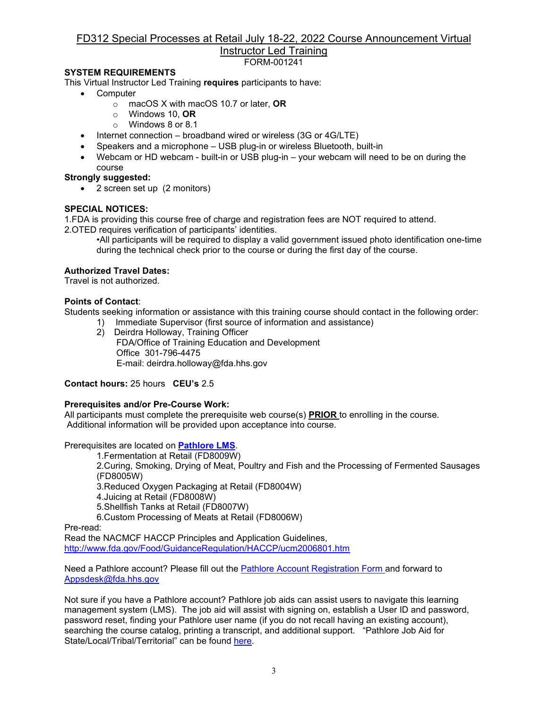## FD312 Special Processes at Retail July 18-22, 2022 Course Announcement Virtual Instructor Led Training

FORM-001241

## **SYSTEM REQUIREMENTS**

This Virtual Instructor Led Training **requires** participants to have:

- Computer
	- o macOS X with macOS 10.7 or later, **OR**
	- o Windows 10, **OR**
	- o Windows 8 or 8.1
- Internet connection broadband wired or wireless (3G or 4G/LTE)
- Speakers and a microphone USB plug-in or wireless Bluetooth, built-in
- Webcam or HD webcam built-in or USB plug-in your webcam will need to be on during the course

## **Strongly suggested:**

• 2 screen set up (2 monitors)

## **SPECIAL NOTICES:**

1.FDA is providing this course free of charge and registration fees are NOT required to attend.

2.OTED requires verification of participants' identities.

•All participants will be required to display a valid government issued photo identification one-time during the technical check prior to the course or during the first day of the course.

## **Authorized Travel Dates:**

Travel is not authorized.

## **Points of Contact**:

Students seeking information or assistance with this training course should contact in the following order:

1) Immediate Supervisor (first source of information and assistance) 2) Deirdra Holloway, Training Officer FDA/Office of Training Education and Development Office 301-796-4475 E-mail: deirdra.holloway@fda.hhs.gov

**Contact hours:** 25 hours **CEU's** 2.5

## **Prerequisites and/or Pre-Course Work:**

All participants must complete the prerequisite web course(s) **PRIOR** to enrolling in the course. Additional information will be provided upon acceptance into course.

Prerequisites are located on **[Pathlore LMS](https://orauportal.fda.gov/stc/ORA/psciis.dll?linkid=383299&mainmenu=ORA&top_frame=1)**.

1.Fermentation at Retail (FD8009W)

2.Curing, Smoking, Drying of Meat, Poultry and Fish and the Processing of Fermented Sausages (FD8005W)

3.Reduced Oxygen Packaging at Retail (FD8004W)

4.Juicing at Retail (FD8008W)

5.Shellfish Tanks at Retail (FD8007W)

6.Custom Processing of Meats at Retail (FD8006W)

Pre-read:

Read the NACMCF HACCP Principles and Application Guidelines, <http://www.fda.gov/Food/GuidanceRegulation/HACCP/ucm2006801.htm>

Need a Pathlore account? Please fill out the [Pathlore Account Registration Form a](https://orauportal.fda.gov/stc/ORA/OTEDPathloreRegistrationAccountRequestForm.pdf)nd forward to [Appsdesk@fda.hhs.gov](mailto:Appsdesk@fda.hhs.gov)

Not sure if you have a Pathlore account? Pathlore job aids can assist users to navigate this learning management system (LMS). The job aid will assist with signing on, establish a User ID and password, password reset, finding your Pathlore user name (if you do not recall having an existing account), searching the course catalog, printing a transcript, and additional support. "Pathlore Job Aid for State/Local/Tribal/Territorial" can be found [here.](https://orauportal.fda.gov/stc/ORA/PathloreStateUserJobAid.pdf)